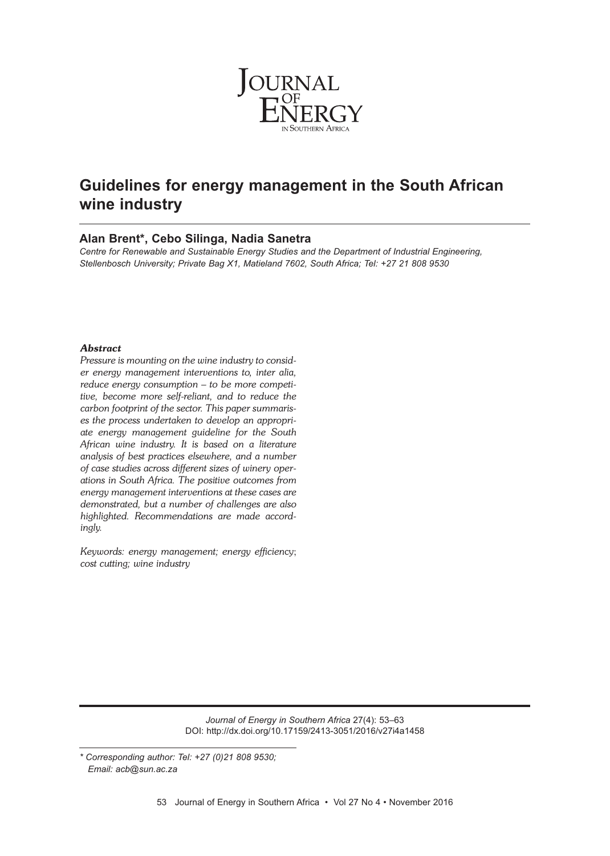

# **Guidelines for energy management in the South African wine industry**

## **Alan Brent\*, Cebo Silinga, Nadia Sanetra**

*Centre for Renewable and Sustainable Energy Studies and the Department of Industrial Engineering, Stellenbosch University; Private Bag X1, Matieland 7602, South Africa; Tel: +27 21 808 9530*

### *Abstract*

*Pressure is mounting on the wine industry to consider energy management interventions to, inter alia, reduce energy consumption – to be more competitive, become more self-reliant, and to reduce the carbon footprint of the sector. This paper summarises the process undertaken to develop an appropriate energy management guideline for the South African wine industry. It is based on a literature analysis of best practices elsewhere, and a number of case studies across different sizes of winery operations in South Africa. The positive outcomes from energy management interventions at these cases are demonstrated, but a number of challenges are also highlighted. Recommendations are made accordingly.*

*Keywords: energy management; energy efficien*cy; *cost cutting; wine industry*

> *Journal of Energy in Southern Africa* 27(4): 53–63 DOI: http://dx.doi.org/10.17159/2413-3051/2016/v27i4a1458

*<sup>\*</sup> Corresponding author: Tel: +27 (0)21 808 9530; Email: acb@sun.ac.za*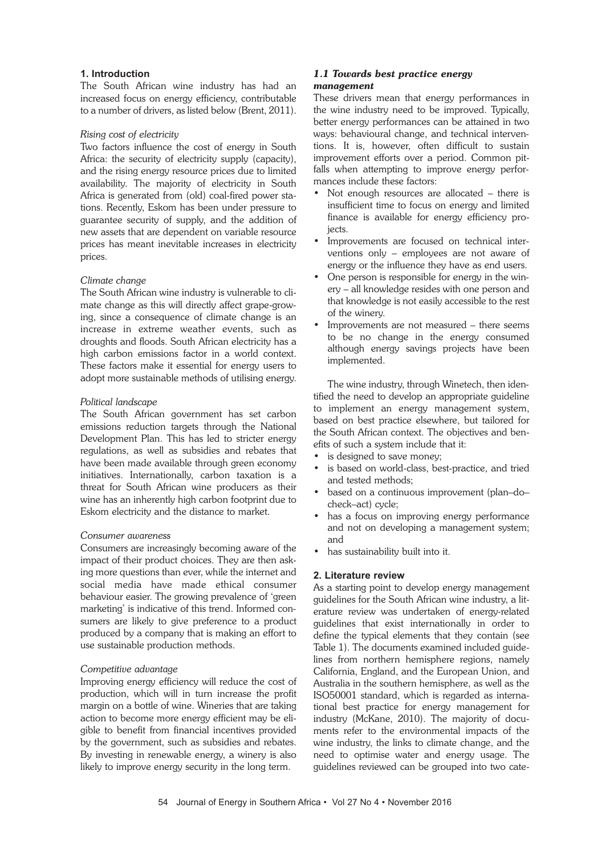### **1. Introduction**

The South African wine industry has had an increased focus on energy efficiency, contributable to a number of drivers, as listed below (Brent, 2011).

### *Rising cost of electricity*

Two factors influence the cost of energy in South Africa: the security of electricity supply (capacity), and the rising energy resource prices due to limited availability. The majority of electricity in South Africa is generated from (old) coal-fired power stations. Recently, Eskom has been under pressure to guarantee security of supply, and the addition of new assets that are dependent on variable resource prices has meant inevitable increases in electricity prices.

### *Climate change*

The South African wine industry is vulnerable to climate change as this will directly affect grape-growing, since a consequence of climate change is an increase in extreme weather events, such as droughts and floods. South African electricity has a high carbon emissions factor in a world context. These factors make it essential for energy users to adopt more sustainable methods of utilising energy.

#### *Political landscape*

The South African government has set carbon emissions reduction targets through the National Development Plan. This has led to stricter energy regulations, as well as subsidies and rebates that have been made available through green economy initiatives. Internationally, carbon taxation is a threat for South African wine producers as their wine has an inherently high carbon footprint due to Eskom electricity and the distance to market.

#### *Consumer awareness*

Consumers are increasingly becoming aware of the impact of their product choices. They are then asking more questions than ever, while the internet and social media have made ethical consumer behaviour easier. The growing prevalence of 'green marketing' is indicative of this trend. Informed consumers are likely to give preference to a product produced by a company that is making an effort to use sustainable production methods.

### *Competitive advantage*

Improving energy efficiency will reduce the cost of production, which will in turn increase the profit margin on a bottle of wine. Wineries that are taking action to become more energy efficient may be eligible to benefit from financial incentives provided by the government, such as subsidies and rebates. By investing in renewable energy, a winery is also likely to improve energy security in the long term.

### *1.1 Towards best practice energy management*

These drivers mean that energy performances in the wine industry need to be improved. Typically, better energy performances can be attained in two ways: behavioural change, and technical interventions. It is, however, often difficult to sustain improvement efforts over a period. Common pitfalls when attempting to improve energy performances include these factors:

- Not enough resources are allocated there is insufficient time to focus on energy and limited finance is available for energy efficiency projects.
- Improvements are focused on technical interventions only – employees are not aware of energy or the influence they have as end users.
- One person is responsible for energy in the winery – all knowledge resides with one person and that knowledge is not easily accessible to the rest of the winery.
- Improvements are not measured there seems to be no change in the energy consumed although energy savings projects have been implemented.

The wine industry, through Winetech, then identified the need to develop an appropriate guideline to implement an energy management system, based on best practice elsewhere, but tailored for the South African context. The objectives and benefits of such a system include that it:

- is designed to save money;
- is based on world-class, best-practice, and tried and tested methods;
- based on a continuous improvement (plan–do– check–act) cycle;
- has a focus on improving energy performance and not on developing a management system; and
- has sustainability built into it.

### **2. Literature review**

As a starting point to develop energy management guidelines for the South African wine industry, a literature review was undertaken of energy-related guidelines that exist internationally in order to define the typical elements that they contain (see Table 1). The documents examined included guidelines from northern hemisphere regions, namely California, England, and the European Union, and Australia in the southern hemisphere, as well as the ISO50001 standard, which is regarded as international best practice for energy management for industry (McKane, 2010). The majority of documents refer to the environmental impacts of the wine industry, the links to climate change, and the need to optimise water and energy usage. The guidelines reviewed can be grouped into two cate-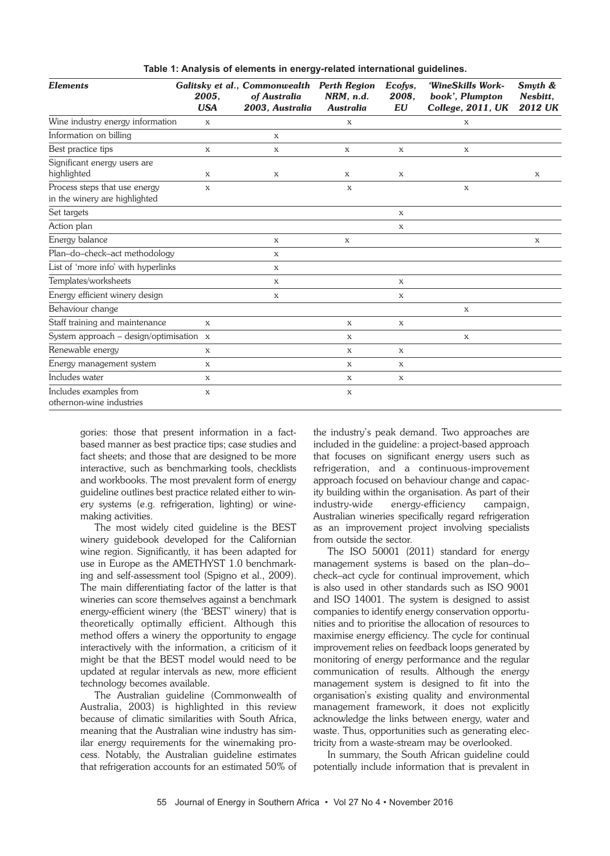|  |  |  | Table 1: Analysis of elements in energy-related international guidelines. |  |  |
|--|--|--|---------------------------------------------------------------------------|--|--|
|--|--|--|---------------------------------------------------------------------------|--|--|

| <b>Elements</b>                                                | 2005.<br><b>USA</b> | Galitsky et al., Commonwealth<br>of Australia<br>2003, Australia | <b>Perth Region</b><br>NRM, n.d.<br><b>Australia</b> | Ecofys,<br>2008.<br><b>EU</b> | 'WineSkills Work-<br>book', Plumpton<br>College, 2011, UK | Smyth &<br>Nesbitt.<br><b>2012 UK</b> |
|----------------------------------------------------------------|---------------------|------------------------------------------------------------------|------------------------------------------------------|-------------------------------|-----------------------------------------------------------|---------------------------------------|
| Wine industry energy information                               | X                   |                                                                  | X                                                    |                               | X                                                         |                                       |
| Information on billing                                         |                     | X                                                                |                                                      |                               |                                                           |                                       |
| Best practice tips                                             | X                   | X                                                                | X                                                    | $\mathbf X$                   | X                                                         |                                       |
| Significant energy users are<br>highlighted                    | X                   | X                                                                | X                                                    | X                             |                                                           | X                                     |
| Process steps that use energy<br>in the winery are highlighted | X                   |                                                                  | $\boldsymbol{\mathrm{X}}$                            |                               | X                                                         |                                       |
| Set targets                                                    |                     |                                                                  |                                                      | $\mathbf{X}$                  |                                                           |                                       |
| Action plan                                                    |                     |                                                                  |                                                      | $\mathbf{x}$                  |                                                           |                                       |
| Energy balance                                                 |                     | X                                                                | $\mathbf X$                                          |                               |                                                           | X                                     |
| Plan-do-check-act methodology                                  |                     | $\mathbf{x}$                                                     |                                                      |                               |                                                           |                                       |
| List of 'more info' with hyperlinks                            |                     | X                                                                |                                                      |                               |                                                           |                                       |
| Templates/worksheets                                           |                     | X                                                                |                                                      | $\mathbf{x}$                  |                                                           |                                       |
| Energy efficient winery design                                 |                     | X                                                                |                                                      | X                             |                                                           |                                       |
| Behaviour change                                               |                     |                                                                  |                                                      |                               | X                                                         |                                       |
| Staff training and maintenance                                 | $\mathbf{x}$        |                                                                  | $\mathbf{x}$                                         | $\mathbf{x}$                  |                                                           |                                       |
| System approach – design/optimisation $x$                      |                     |                                                                  | X                                                    |                               | $\mathbf{x}$                                              |                                       |
| Renewable energy                                               | X                   |                                                                  | $\mathbf{x}$                                         | $\mathbf{x}$                  |                                                           |                                       |
| Energy management system                                       | X                   |                                                                  | X                                                    | X                             |                                                           |                                       |
| Includes water                                                 | X                   |                                                                  | $\mathbf{x}$                                         | $\mathbf X$                   |                                                           |                                       |
| Includes examples from<br>othernon-wine industries             | X                   |                                                                  | X                                                    |                               |                                                           |                                       |

gories: those that present information in a factbased manner as best practice tips; case studies and fact sheets; and those that are designed to be more interactive, such as benchmarking tools, checklists and workbooks. The most prevalent form of energy guideline outlines best practice related either to winery systems (e.g. refrigeration, lighting) or winemaking activities.

The most widely cited guideline is the BEST winery guidebook developed for the Californian wine region. Significantly, it has been adapted for use in Europe as the AMETHYST 1.0 benchmarking and self-assessment tool (Spigno et al., 2009). The main differentiating factor of the latter is that wineries can score themselves against a benchmark energy-efficient winery (the 'BEST' winery) that is theoretically optimally efficient. Although this method offers a winery the opportunity to engage interactively with the information, a criticism of it might be that the BEST model would need to be updated at regular intervals as new, more efficient technology becomes available.

The Australian guideline (Commonwealth of Australia, 2003) is highlighted in this review because of climatic similarities with South Africa, meaning that the Australian wine industry has similar energy requirements for the winemaking process. Notably, the Australian guideline estimates that refrigeration accounts for an estimated 50% of

the industry's peak demand. Two approaches are included in the guideline: a project-based approach that focuses on significant energy users such as refrigeration, and a continuous-improvement approach focused on behaviour change and capacity building within the organisation. As part of their industry-wide energy-efficiency campaign, Australian wineries specifically regard refrigeration as an improvement project involving specialists from outside the sector.

The ISO 50001 (2011) standard for energy management systems is based on the plan–do– check–act cycle for continual improvement, which is also used in other standards such as ISO 9001 and ISO 14001. The system is designed to assist companies to identify energy conservation opportunities and to prioritise the allocation of resources to maximise energy efficiency. The cycle for continual improvement relies on feedback loops generated by monitoring of energy performance and the regular communication of results. Although the energy management system is designed to fit into the organisation's existing quality and environmental management framework, it does not explicitly acknowledge the links between energy, water and waste. Thus, opportunities such as generating electricity from a waste-stream may be overlooked.

In summary, the South African guideline could potentially include information that is prevalent in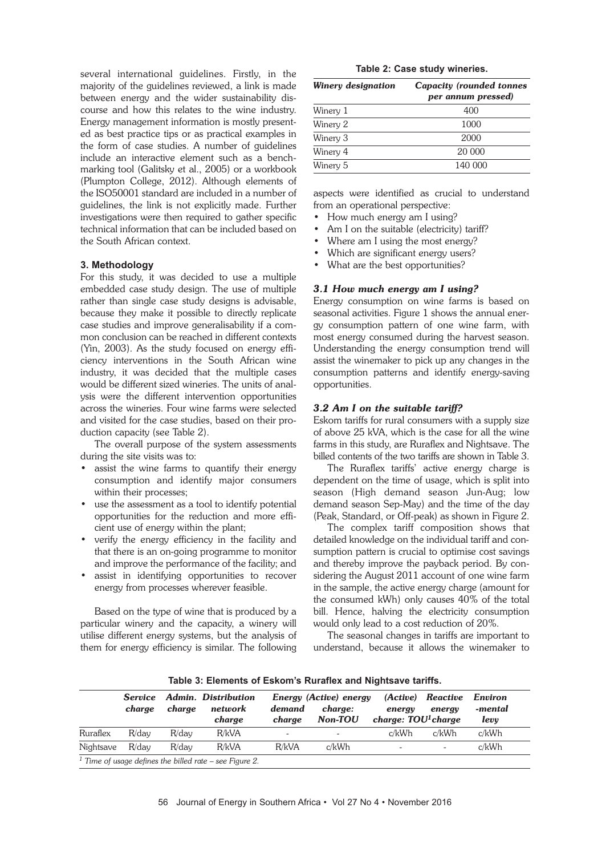several international guidelines. Firstly, in the majority of the guidelines reviewed, a link is made between energy and the wider sustainability discourse and how this relates to the wine industry. Energy management information is mostly presented as best practice tips or as practical examples in the form of case studies. A number of guidelines include an interactive element such as a benchmarking tool (Galitsky et al., 2005) or a workbook (Plumpton College, 2012). Although elements of the ISO50001 standard are included in a number of guidelines, the link is not explicitly made. Further investigations were then required to gather specific technical information that can be included based on the South African context.

### **3. Methodology**

For this study, it was decided to use a multiple embedded case study design. The use of multiple rather than single case study designs is advisable, because they make it possible to directly replicate case studies and improve generalisability if a common conclusion can be reached in different contexts (Yin, 2003). As the study focused on energy efficiency interventions in the South African wine industry, it was decided that the multiple cases would be different sized wineries. The units of analysis were the different intervention opportunities across the wineries. Four wine farms were selected and visited for the case studies, based on their production capacity (see Table 2).

The overall purpose of the system assessments during the site visits was to:

- assist the wine farms to quantify their energy consumption and identify major consumers within their processes;
- use the assessment as a tool to identify potential opportunities for the reduction and more efficient use of energy within the plant;
- verify the energy efficiency in the facility and that there is an on-going programme to monitor and improve the performance of the facility; and
- assist in identifying opportunities to recover energy from processes wherever feasible.

Based on the type of wine that is produced by a particular winery and the capacity, a winery will utilise different energy systems, but the analysis of them for energy efficiency is similar. The following

|  |  |  | Table 2: Case study wineries. |  |
|--|--|--|-------------------------------|--|
|--|--|--|-------------------------------|--|

| Winery designation | <b>Capacity (rounded tonnes</b><br>per annum pressed) |  |  |  |
|--------------------|-------------------------------------------------------|--|--|--|
| Winery 1           | 400                                                   |  |  |  |
| Winery 2           | 1000                                                  |  |  |  |
| Winery 3           | 2000                                                  |  |  |  |
| Winery 4           | 20 000                                                |  |  |  |
| Winery 5           | 140 000                                               |  |  |  |

aspects were identified as crucial to understand from an operational perspective:

- How much energy am I using?
- Am I on the suitable (electricity) tariff?
- Where am I using the most energy?
- Which are significant energy users?
- What are the best opportunities?

### *3.1 How much energy am I using?*

Energy consumption on wine farms is based on seasonal activities. Figure 1 shows the annual energy consumption pattern of one wine farm, with most energy consumed during the harvest season. Understanding the energy consumption trend will assist the winemaker to pick up any changes in the consumption patterns and identify energy-saving opportunities.

#### *3.2 Am I on the suitable tariff?*

Eskom tariffs for rural consumers with a supply size of above 25 kVA, which is the case for all the wine farms in this study, are Ruraflex and Nightsave. The billed contents of the two tariffs are shown in Table 3.

The Ruraflex tariffs' active energy charge is dependent on the time of usage, which is split into season (High demand season Jun-Aug; low demand season Sep-May) and the time of the day (Peak, Standard, or Off-peak) as shown in Figure 2.

The complex tariff composition shows that detailed knowledge on the individual tariff and consumption pattern is crucial to optimise cost savings and thereby improve the payback period. By considering the August 2011 account of one wine farm in the sample, the active energy charge (amount for the consumed kWh) only causes 40% of the total bill. Hence, halving the electricity consumption would only lead to a cost reduction of 20%.

The seasonal changes in tariffs are important to understand, because it allows the winemaker to

|           | <b>Service</b><br>charge |          | Admin. Distribution | Energy (Active) energy   |                           | (Active)                       | Reactive                 | Environ         |
|-----------|--------------------------|----------|---------------------|--------------------------|---------------------------|--------------------------------|--------------------------|-----------------|
|           |                          | charge   | network<br>charge   | demand<br>charge         | charge:<br><b>Non-TOU</b> | energy<br>charge: $TOU1charge$ | energy                   | -mental<br>levy |
| Ruraflex  | $R$ /dav                 | $R$ /dav | R/kVA               | $\overline{\phantom{a}}$ |                           | c/kWh                          | c/kWh                    | c/kWh           |
| Nightsave | $R$ /dav                 | $R$ /dav | R/kVA               | R/kVA                    | c/kWh                     | $\overline{\phantom{a}}$       | $\overline{\phantom{a}}$ | c/kWh           |

**Table 3: Elements of Eskom's Ruraflex and Nightsave tariffs.**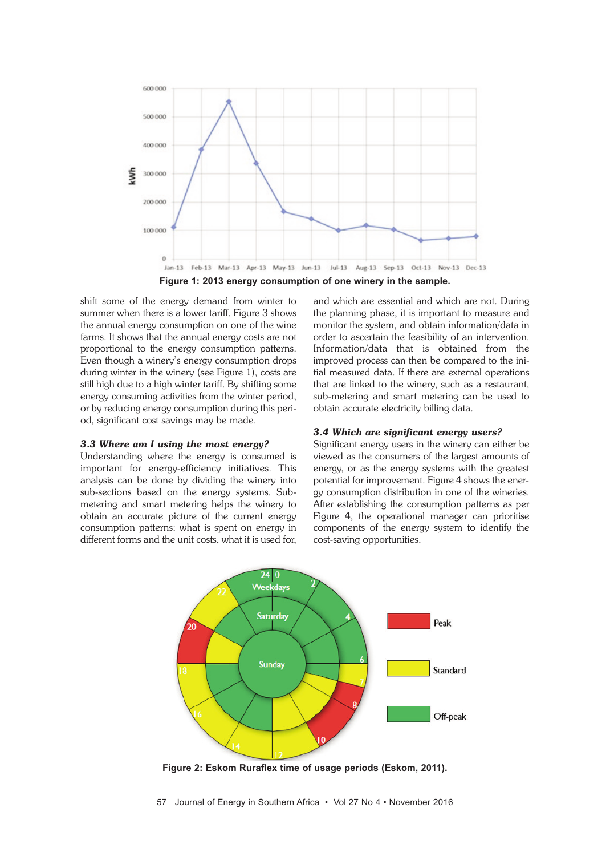

shift some of the energy demand from winter to summer when there is a lower tariff. Figure 3 shows the annual energy consumption on one of the wine farms. It shows that the annual energy costs are not proportional to the energy consumption patterns. Even though a winery's energy consumption drops during winter in the winery (see Figure 1), costs are still high due to a high winter tariff. By shifting some energy consuming activities from the winter period, or by reducing energy consumption during this period, significant cost savings may be made.

### *3.3 Where am I using the most energy?*

Understanding where the energy is consumed is important for energy-efficiency initiatives. This analysis can be done by dividing the winery into sub-sections based on the energy systems. Submetering and smart metering helps the winery to obtain an accurate picture of the current energy consumption patterns: what is spent on energy in different forms and the unit costs, what it is used for, and which are essential and which are not. During the planning phase, it is important to measure and monitor the system, and obtain information/data in order to ascertain the feasibility of an intervention. Information/data that is obtained from the improved process can then be compared to the initial measured data. If there are external operations that are linked to the winery, such as a restaurant, sub-metering and smart metering can be used to obtain accurate electricity billing data.

#### *3.4 Which are significant energy users?*

Significant energy users in the winery can either be viewed as the consumers of the largest amounts of energy, or as the energy systems with the greatest potential for improvement. Figure 4 shows the energy consumption distribution in one of the wineries. After establishing the consumption patterns as per Figure 4, the operational manager can prioritise components of the energy system to identify the cost-saving opportunities.



**Figure 2: Eskom Ruraflex time of usage periods (Eskom, 2011).**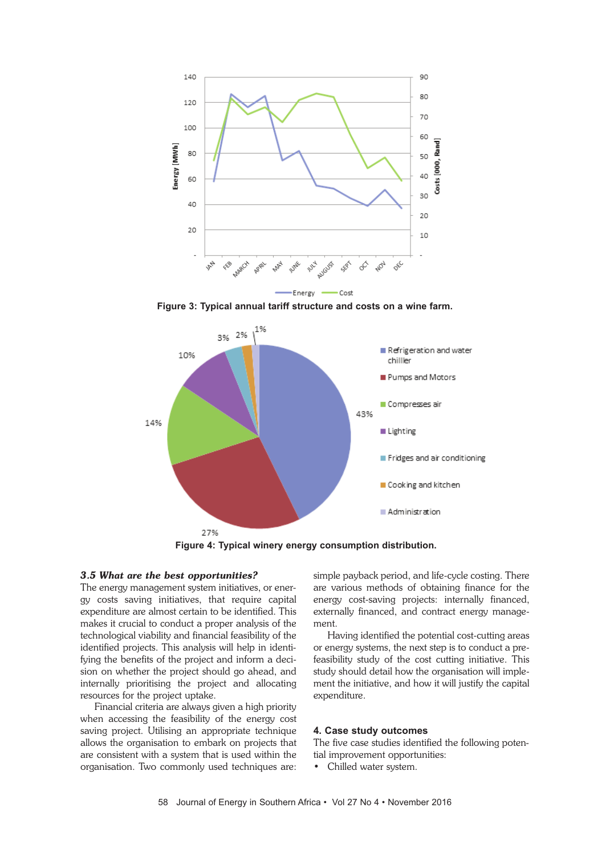

**Figure 3: Typical annual tariff structure and costs on a wine farm.**



**Figure 4: Typical winery energy consumption distribution.**

#### *3.5 What are the best opportunities?*

The energy management system initiatives, or energy costs saving initiatives, that require capital expenditure are almost certain to be identified. This makes it crucial to conduct a proper analysis of the technological viability and financial feasibility of the identified projects. This analysis will help in identifying the benefits of the project and inform a decision on whether the project should go ahead, and internally prioritising the project and allocating resources for the project uptake.

Financial criteria are always given a high priority when accessing the feasibility of the energy cost saving project. Utilising an appropriate technique allows the organisation to embark on projects that are consistent with a system that is used within the organisation. Two commonly used techniques are:

simple payback period, and life-cycle costing. There are various methods of obtaining finance for the energy cost-saving projects: internally financed, externally financed, and contract energy management.

Having identified the potential cost-cutting areas or energy systems, the next step is to conduct a prefeasibility study of the cost cutting initiative. This study should detail how the organisation will implement the initiative, and how it will justify the capital expenditure.

### **4. Case study outcomes**

The five case studies identified the following potential improvement opportunities:

• Chilled water system.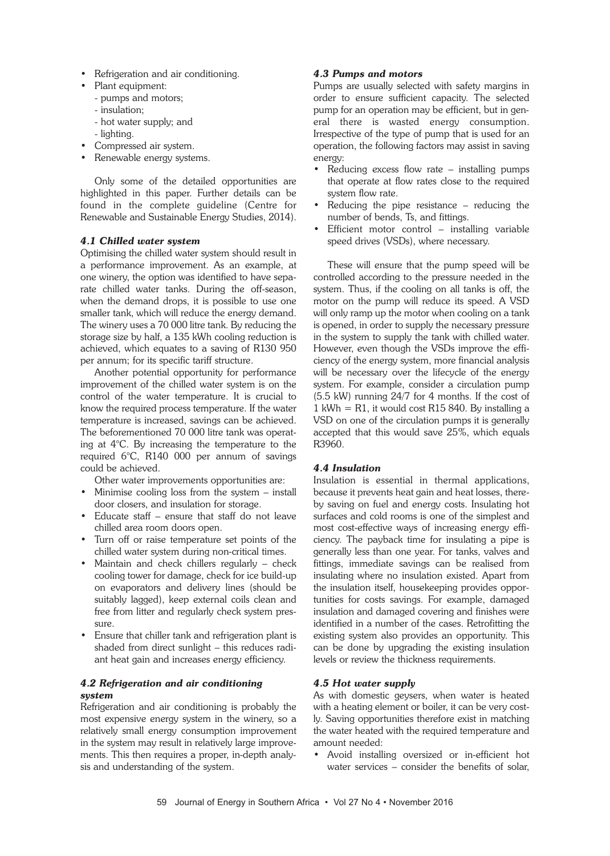- Refrigeration and air conditioning.
- Plant equipment:
- pumps and motors;
- insulation;
- hot water supply; and
- lighting.
- Compressed air system.
- Renewable energy systems.

Only some of the detailed opportunities are highlighted in this paper. Further details can be found in the complete guideline (Centre for Renewable and Sustainable Energy Studies, 2014).

### *4.1 Chilled water system*

Optimising the chilled water system should result in a performance improvement. As an example, at one winery, the option was identified to have separate chilled water tanks. During the off-season, when the demand drops, it is possible to use one smaller tank, which will reduce the energy demand. The winery uses a 70 000 litre tank. By reducing the storage size by half, a 135 kWh cooling reduction is achieved, which equates to a saving of R130 950 per annum; for its specific tariff structure.

Another potential opportunity for performance improvement of the chilled water system is on the control of the water temperature. It is crucial to know the required process temperature. If the water temperature is increased, savings can be achieved. The beforementioned 70 000 litre tank was operating at 4°C. By increasing the temperature to the required 6°C, R140 000 per annum of savings could be achieved.

Other water improvements opportunities are:

- Minimise cooling loss from the system install door closers, and insulation for storage.
- Educate staff ensure that staff do not leave chilled area room doors open.
- Turn off or raise temperature set points of the chilled water system during non-critical times.
- Maintain and check chillers regularly check cooling tower for damage, check for ice build-up on evaporators and delivery lines (should be suitably lagged), keep external coils clean and free from litter and regularly check system pressure.
- Ensure that chiller tank and refrigeration plant is shaded from direct sunlight – this reduces radiant heat gain and increases energy efficiency.

### *4.2 Refrigeration and air conditioning system*

Refrigeration and air conditioning is probably the most expensive energy system in the winery, so a relatively small energy consumption improvement in the system may result in relatively large improvements. This then requires a proper, in-depth analysis and understanding of the system.

### *4.3 Pumps and motors*

Pumps are usually selected with safety margins in order to ensure sufficient capacity. The selected pump for an operation may be efficient, but in general there is wasted energy consumption. Irrespective of the type of pump that is used for an operation, the following factors may assist in saving energy:

- Reducing excess flow rate installing pumps that operate at flow rates close to the required system flow rate.
- Reducing the pipe resistance  $-$  reducing the number of bends, Ts, and fittings.
- Efficient motor control installing variable speed drives (VSDs), where necessary.

These will ensure that the pump speed will be controlled according to the pressure needed in the system. Thus, if the cooling on all tanks is off, the motor on the pump will reduce its speed. A VSD will only ramp up the motor when cooling on a tank is opened, in order to supply the necessary pressure in the system to supply the tank with chilled water. However, even though the VSDs improve the efficiency of the energy system, more financial analysis will be necessary over the lifecycle of the energy system. For example, consider a circulation pump (5.5 kW) running 24/7 for 4 months. If the cost of  $1$  kWh = R1, it would cost R15 840. By installing a VSD on one of the circulation pumps it is generally accepted that this would save 25%, which equals R3960.

### *4.4 Insulation*

Insulation is essential in thermal applications, because it prevents heat gain and heat losses, thereby saving on fuel and energy costs. Insulating hot surfaces and cold rooms is one of the simplest and most cost-effective ways of increasing energy efficiency. The payback time for insulating a pipe is generally less than one year. For tanks, valves and fittings, immediate savings can be realised from insulating where no insulation existed. Apart from the insulation itself, housekeeping provides opportunities for costs savings. For example, damaged insulation and damaged covering and finishes were identified in a number of the cases. Retrofitting the existing system also provides an opportunity. This can be done by upgrading the existing insulation levels or review the thickness requirements.

### *4.5 Hot water supply*

As with domestic geysers, when water is heated with a heating element or boiler, it can be very costly. Saving opportunities therefore exist in matching the water heated with the required temperature and amount needed:

• Avoid installing oversized or in-efficient hot water services – consider the benefits of solar,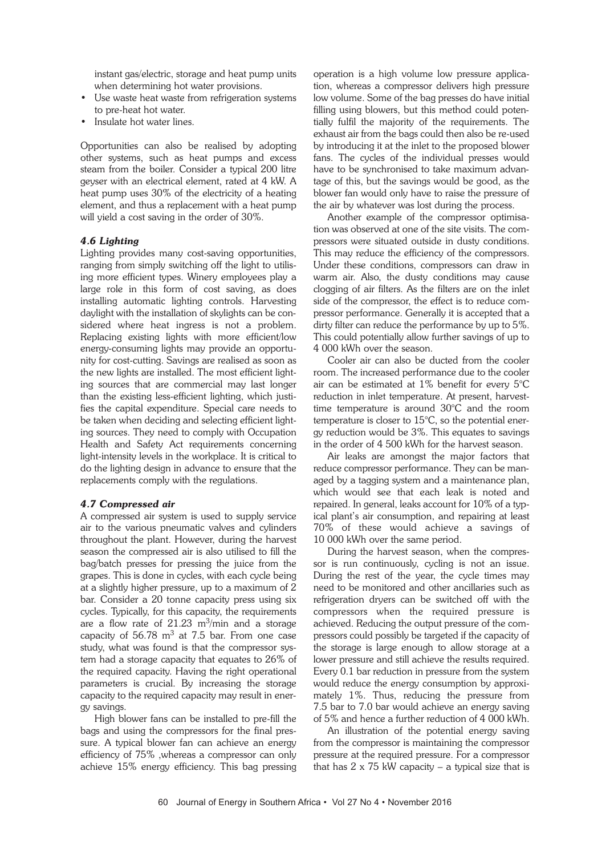instant gas/electric, storage and heat pump units when determining hot water provisions.

- Use waste heat waste from refrigeration systems to pre-heat hot water.
- Insulate hot water lines.

Opportunities can also be realised by adopting other systems, such as heat pumps and excess steam from the boiler. Consider a typical 200 litre geyser with an electrical element, rated at 4 kW. A heat pump uses 30% of the electricity of a heating element, and thus a replacement with a heat pump will yield a cost saving in the order of 30%.

### *4.6 Lighting*

Lighting provides many cost-saving opportunities, ranging from simply switching off the light to utilising more efficient types. Winery employees play a large role in this form of cost saving, as does installing automatic lighting controls. Harvesting daylight with the installation of skylights can be considered where heat ingress is not a problem. Replacing existing lights with more efficient/low energy-consuming lights may provide an opportunity for cost-cutting. Savings are realised as soon as the new lights are installed. The most efficient lighting sources that are commercial may last longer than the existing less-efficient lighting, which justifies the capital expenditure. Special care needs to be taken when deciding and selecting efficient lighting sources. They need to comply with Occupation Health and Safety Act requirements concerning light-intensity levels in the workplace. It is critical to do the lighting design in advance to ensure that the replacements comply with the regulations.

### *4.7 Compressed air*

A compressed air system is used to supply service air to the various pneumatic valves and cylinders throughout the plant. However, during the harvest season the compressed air is also utilised to fill the bag/batch presses for pressing the juice from the grapes. This is done in cycles, with each cycle being at a slightly higher pressure, up to a maximum of 2 bar. Consider a 20 tonne capacity press using six cycles. Typically, for this capacity, the requirements are a flow rate of  $21.23$  m<sup>3</sup>/min and a storage capacity of  $56.78 \text{ m}^3$  at 7.5 bar. From one case study, what was found is that the compressor system had a storage capacity that equates to 26% of the required capacity. Having the right operational parameters is crucial. By increasing the storage capacity to the required capacity may result in energy savings.

High blower fans can be installed to pre-fill the bags and using the compressors for the final pressure. A typical blower fan can achieve an energy efficiency of 75% ,whereas a compressor can only achieve 15% energy efficiency. This bag pressing

operation is a high volume low pressure application, whereas a compressor delivers high pressure low volume. Some of the bag presses do have initial filling using blowers, but this method could potentially fulfil the majority of the requirements. The exhaust air from the bags could then also be re-used by introducing it at the inlet to the proposed blower fans. The cycles of the individual presses would have to be synchronised to take maximum advantage of this, but the savings would be good, as the blower fan would only have to raise the pressure of the air by whatever was lost during the process.

Another example of the compressor optimisation was observed at one of the site visits. The compressors were situated outside in dusty conditions. This may reduce the efficiency of the compressors. Under these conditions, compressors can draw in warm air. Also, the dusty conditions may cause clogging of air filters. As the filters are on the inlet side of the compressor, the effect is to reduce compressor performance. Generally it is accepted that a dirty filter can reduce the performance by up to 5%. This could potentially allow further savings of up to 4 000 kWh over the season.

Cooler air can also be ducted from the cooler room. The increased performance due to the cooler air can be estimated at 1% benefit for every 5°C reduction in inlet temperature. At present, harvesttime temperature is around 30°C and the room temperature is closer to 15°C, so the potential energy reduction would be 3%. This equates to savings in the order of 4 500 kWh for the harvest season.

Air leaks are amongst the major factors that reduce compressor performance. They can be managed by a tagging system and a maintenance plan, which would see that each leak is noted and repaired. In general, leaks account for 10% of a typical plant's air consumption, and repairing at least 70% of these would achieve a savings of 10 000 kWh over the same period.

During the harvest season, when the compressor is run continuously, cycling is not an issue. During the rest of the year, the cycle times may need to be monitored and other ancillaries such as refrigeration dryers can be switched off with the compressors when the required pressure is achieved. Reducing the output pressure of the compressors could possibly be targeted if the capacity of the storage is large enough to allow storage at a lower pressure and still achieve the results required. Every 0.1 bar reduction in pressure from the system would reduce the energy consumption by approximately 1%. Thus, reducing the pressure from 7.5 bar to 7.0 bar would achieve an energy saving of 5% and hence a further reduction of 4 000 kWh.

An illustration of the potential energy saving from the compressor is maintaining the compressor pressure at the required pressure. For a compressor that has  $2 \times 75$  kW capacity – a typical size that is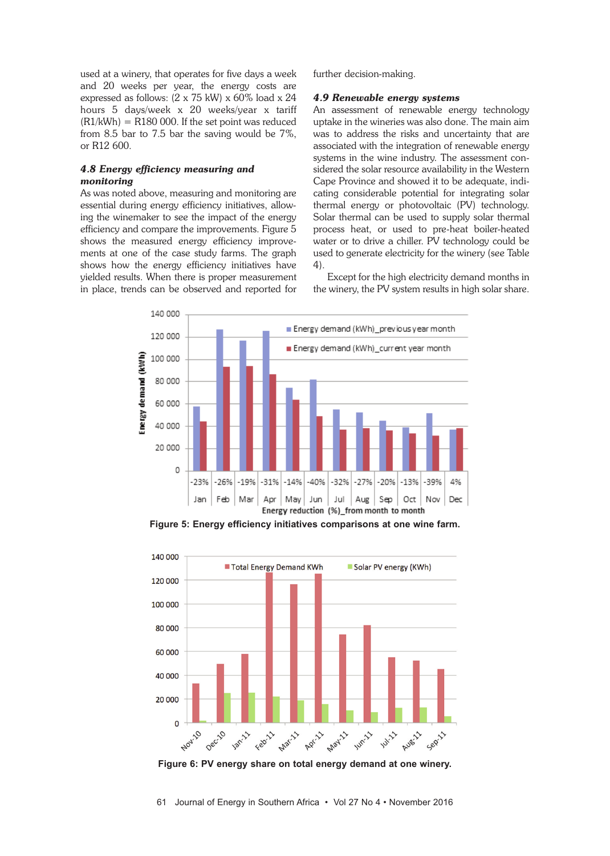used at a winery, that operates for five days a week and 20 weeks per year, the energy costs are expressed as follows: (2 x 75 kW) x 60% load x 24 hours 5 days/week x 20 weeks/year x tariff  $(R1/kWh) = R180000$ . If the set point was reduced from 8.5 bar to 7.5 bar the saving would be 7%, or R12 600.

### *4.8 Energy efficiency measuring and monitoring*

As was noted above, measuring and monitoring are essential during energy efficiency initiatives, allowing the winemaker to see the impact of the energy efficiency and compare the improvements. Figure 5 shows the measured energy efficiency improvements at one of the case study farms. The graph shows how the energy efficiency initiatives have yielded results. When there is proper measurement in place, trends can be observed and reported for

further decision-making.

### *4.9 Renewable energy systems*

An assessment of renewable energy technology uptake in the wineries was also done. The main aim was to address the risks and uncertainty that are associated with the integration of renewable energy systems in the wine industry. The assessment considered the solar resource availability in the Western Cape Province and showed it to be adequate, indicating considerable potential for integrating solar thermal energy or photovoltaic (PV) technology. Solar thermal can be used to supply solar thermal process heat, or used to pre-heat boiler-heated water or to drive a chiller. PV technology could be used to generate electricity for the winery (see Table 4).

Except for the high electricity demand months in the winery, the PV system results in high solar share.



**Figure 5: Energy efficiency initiatives comparisons at one wine farm.**



**Figure 6: PV energy share on total energy demand at one winery.**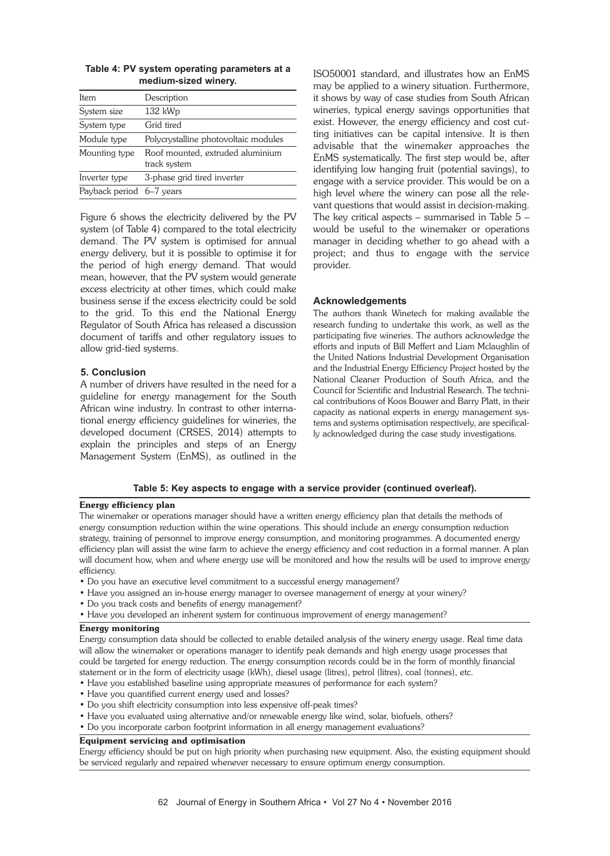| Item                     | Description                                      |
|--------------------------|--------------------------------------------------|
| System size              | $132$ kWp                                        |
| System type              | Grid tired                                       |
| Module type              | Polycrystalline photovoltaic modules             |
| Mounting type            | Roof mounted, extruded aluminium<br>track system |
| Inverter type            | 3-phase grid tired inverter                      |
| Payback period 6-7 years |                                                  |
|                          |                                                  |

### **Table 4: PV system operating parameters at a medium-sized winery.**

Figure 6 shows the electricity delivered by the PV system (of Table 4) compared to the total electricity demand. The PV system is optimised for annual energy delivery, but it is possible to optimise it for the period of high energy demand. That would mean, however, that the PV system would generate excess electricity at other times, which could make business sense if the excess electricity could be sold to the grid. To this end the National Energy Regulator of South Africa has released a discussion document of tariffs and other regulatory issues to allow grid-tied systems.

### **5. Conclusion**

A number of drivers have resulted in the need for a guideline for energy management for the South African wine industry. In contrast to other international energy efficiency guidelines for wineries, the developed document (CRSES, 2014) attempts to explain the principles and steps of an Energy Management System (EnMS), as outlined in the

ISO50001 standard, and illustrates how an EnMS may be applied to a winery situation. Furthermore, it shows by way of case studies from South African wineries, typical energy savings opportunities that exist. However, the energy efficiency and cost cutting initiatives can be capital intensive. It is then advisable that the winemaker approaches the EnMS systematically. The first step would be, after identifying low hanging fruit (potential savings), to engage with a service provider. This would be on a high level where the winery can pose all the relevant questions that would assist in decision-making. The key critical aspects – summarised in Table 5 – would be useful to the winemaker or operations manager in deciding whether to go ahead with a project; and thus to engage with the service provider.

### **Acknowledgements**

The authors thank Winetech for making available the research funding to undertake this work, as well as the participating five wineries. The authors acknowledge the efforts and inputs of Bill Meffert and Liam Mclaughlin of the United Nations Industrial Development Organisation and the Industrial Energy Efficiency Project hosted by the National Cleaner Production of South Africa, and the Council for Scientific and Industrial Research. The technical contributions of Koos Bouwer and Barry Platt, in their capacity as national experts in energy management systems and systems optimisation respectively, are specifically acknowledged during the case study investigations.

### **Table 5: Key aspects to engage with a service provider (continued overleaf).**

### Energy efficiency plan

The winemaker or operations manager should have a written energy efficiency plan that details the methods of energy consumption reduction within the wine operations. This should include an energy consumption reduction strategy, training of personnel to improve energy consumption, and monitoring programmes. A documented energy efficiency plan will assist the wine farm to achieve the energy efficiency and cost reduction in a formal manner. A plan will document how, when and where energy use will be monitored and how the results will be used to improve energy efficiency.

- Do you have an executive level commitment to a successful energy management?
- Have you assigned an in-house energy manager to oversee management of energy at your winery?
- Do you track costs and benefits of energy management?
- Have you developed an inherent system for continuous improvement of energy management?

#### Energy monitoring

Energy consumption data should be collected to enable detailed analysis of the winery energy usage. Real time data will allow the winemaker or operations manager to identify peak demands and high energy usage processes that could be targeted for energy reduction. The energy consumption records could be in the form of monthly financial statement or in the form of electricity usage (kWh), diesel usage (litres), petrol (litres), coal (tonnes), etc.

- Have you established baseline using appropriate measures of performance for each system?
- Have you quantified current energy used and losses?
- Do you shift electricity consumption into less expensive off-peak times?
- Have you evaluated using alternative and/or renewable energy like wind, solar, biofuels, others?
- Do you incorporate carbon footprint information in all energy management evaluations?

### Equipment servicing and optimisation

Energy efficiency should be put on high priority when purchasing new equipment. Also, the existing equipment should be serviced regularly and repaired whenever necessary to ensure optimum energy consumption.